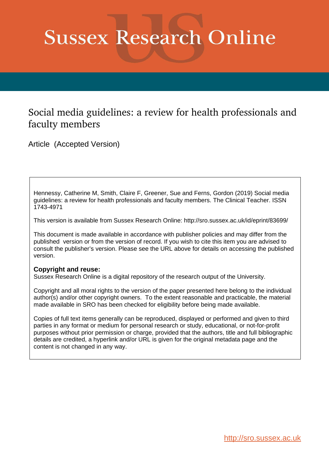# **Sussex Research Online**

# Social media guidelines: a review for health professionals and faculty members

Article (Accepted Version)

Hennessy, Catherine M, Smith, Claire F, Greener, Sue and Ferns, Gordon (2019) Social media guidelines: a review for health professionals and faculty members. The Clinical Teacher. ISSN 1743-4971

This version is available from Sussex Research Online: http://sro.sussex.ac.uk/id/eprint/83699/

This document is made available in accordance with publisher policies and may differ from the published version or from the version of record. If you wish to cite this item you are advised to consult the publisher's version. Please see the URL above for details on accessing the published version.

### **Copyright and reuse:**

Sussex Research Online is a digital repository of the research output of the University.

Copyright and all moral rights to the version of the paper presented here belong to the individual author(s) and/or other copyright owners. To the extent reasonable and practicable, the material made available in SRO has been checked for eligibility before being made available.

Copies of full text items generally can be reproduced, displayed or performed and given to third parties in any format or medium for personal research or study, educational, or not-for-profit purposes without prior permission or charge, provided that the authors, title and full bibliographic details are credited, a hyperlink and/or URL is given for the original metadata page and the content is not changed in any way.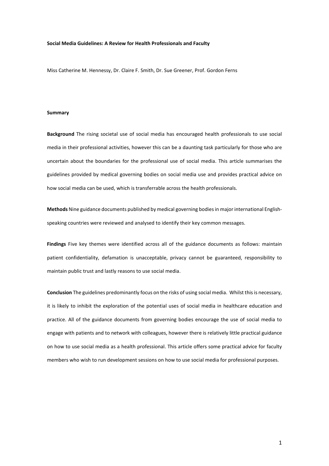#### **Social Media Guidelines: A Review for Health Professionals and Faculty**

Miss Catherine M. Hennessy, Dr. Claire F. Smith, Dr. Sue Greener, Prof. Gordon Ferns

#### **Summary**

**Background** The rising societal use of social media has encouraged health professionals to use social media in their professional activities, however this can be a daunting task particularly for those who are uncertain about the boundaries for the professional use of social media. This article summarises the guidelines provided by medical governing bodies on social media use and provides practical advice on how social media can be used, which is transferrable across the health professionals.

**Methods** Nine guidance documents published by medical governing bodies in major international Englishspeaking countries were reviewed and analysed to identify their key common messages.

**Findings** Five key themes were identified across all of the guidance documents as follows: maintain patient confidentiality, defamation is unacceptable, privacy cannot be guaranteed, responsibility to maintain public trust and lastly reasons to use social media.

**Conclusion** The guidelines predominantly focus on the risks of using social media. Whilst this is necessary, it is likely to inhibit the exploration of the potential uses of social media in healthcare education and practice. All of the guidance documents from governing bodies encourage the use of social media to engage with patients and to network with colleagues, however there is relatively little practical guidance on how to use social media as a health professional. This article offers some practical advice for faculty members who wish to run development sessions on how to use social media for professional purposes.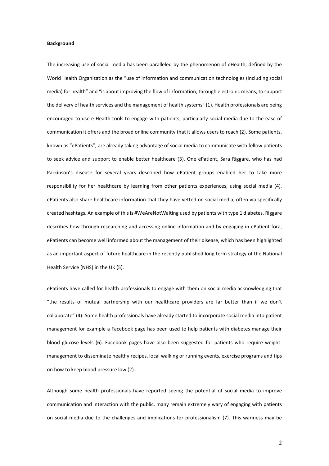#### **Background**

The increasing use of social media has been paralleled by the phenomenon of eHealth, defined by the World Health Organization as the "use of information and communication technologies (including social media) for health" and "is about improving the flow of information, through electronic means, to support the delivery of health services and the management of health systems" (1). Health professionals are being encouraged to use e-Health tools to engage with patients, particularly social media due to the ease of communication it offers and the broad online community that it allows users to reach (2). Some patients, known as "ePatients", are already taking advantage of social media to communicate with fellow patients to seek advice and support to enable better healthcare (3). One ePatient, Sara Riggare, who has had Parkinson's disease for several years described how ePatient groups enabled her to take more responsibility for her healthcare by learning from other patients experiences, using social media (4). ePatients also share healthcare information that they have vetted on social media, often via specifically created hashtags. An example of this is #WeAreNotWaiting used by patients with type 1 diabetes. Riggare describes how through researching and accessing online information and by engaging in ePatient fora, ePatients can become well informed about the management of their disease, which has been highlighted as an important aspect of future healthcare in the recently published long term strategy of the National Health Service (NHS) in the UK (5).

ePatients have called for health professionals to engage with them on social media acknowledging that "the results of mutual partnership with our healthcare providers are far better than if we don't collaborate" (4). Some health professionals have already started to incorporate social media into patient management for example a Facebook page has been used to help patients with diabetes manage their blood glucose levels (6). Facebook pages have also been suggested for patients who require weightmanagement to disseminate healthy recipes, local walking or running events, exercise programs and tips on how to keep blood pressure low (2).

Although some health professionals have reported seeing the potential of social media to improve communication and interaction with the public, many remain extremely wary of engaging with patients on social media due to the challenges and implications for professionalism (7). This wariness may be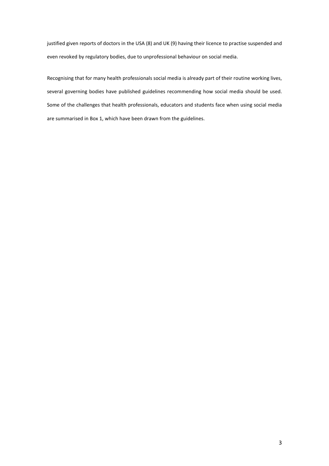justified given reports of doctors in the USA (8) and UK (9) having their licence to practise suspended and even revoked by regulatory bodies, due to unprofessional behaviour on social media.

Recognising that for many health professionals social media is already part of their routine working lives, several governing bodies have published guidelines recommending how social media should be used. Some of the challenges that health professionals, educators and students face when using social media are summarised in Box 1, which have been drawn from the guidelines.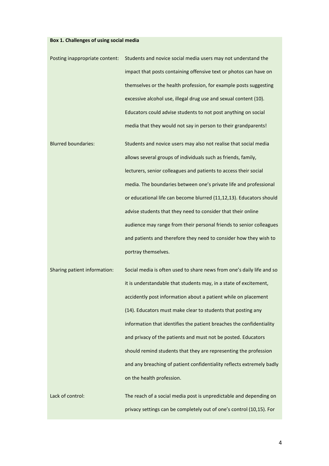## **Box 1. Challenges of using social media**

| Posting inappropriate content: | Students and novice social media users may not understand the         |
|--------------------------------|-----------------------------------------------------------------------|
|                                | impact that posts containing offensive text or photos can have on     |
|                                | themselves or the health profession, for example posts suggesting     |
|                                | excessive alcohol use, illegal drug use and sexual content (10).      |
|                                | Educators could advise students to not post anything on social        |
|                                | media that they would not say in person to their grandparents!        |
| <b>Blurred boundaries:</b>     | Students and novice users may also not realise that social media      |
|                                | allows several groups of individuals such as friends, family,         |
|                                | lecturers, senior colleagues and patients to access their social      |
|                                | media. The boundaries between one's private life and professional     |
|                                | or educational life can become blurred (11,12,13). Educators should   |
|                                | advise students that they need to consider that their online          |
|                                | audience may range from their personal friends to senior colleagues   |
|                                | and patients and therefore they need to consider how they wish to     |
|                                | portray themselves.                                                   |
| Sharing patient information:   | Social media is often used to share news from one's daily life and so |
|                                | it is understandable that students may, in a state of excitement,     |
|                                | accidently post information about a patient while on placement        |
|                                | (14). Educators must make clear to students that posting any          |
|                                | information that identifies the patient breaches the confidentiality  |
|                                | and privacy of the patients and must not be posted. Educators         |
|                                | should remind students that they are representing the profession      |
|                                | and any breaching of patient confidentiality reflects extremely badly |
|                                | on the health profession.                                             |
| Lack of control:               | The reach of a social media post is unpredictable and depending on    |
|                                | privacy settings can be completely out of one's control (10,15). For  |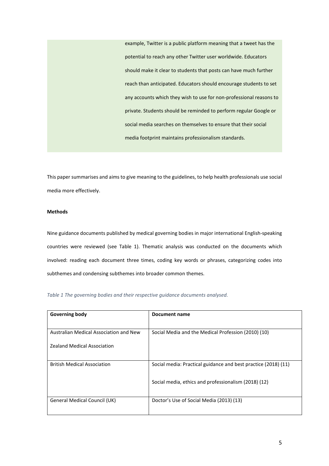example, Twitter is a public platform meaning that a tweet has the potential to reach any other Twitter user worldwide. Educators should make it clear to students that posts can have much further reach than anticipated. Educators should encourage students to set any accounts which they wish to use for non-professional reasons to private. Students should be reminded to perform regular Google or social media searches on themselves to ensure that their social media footprint maintains professionalism standards.

This paper summarises and aims to give meaning to the guidelines, to help health professionals use social media more effectively.

#### **Methods**

Nine guidance documents published by medical governing bodies in major international English-speaking countries were reviewed (see Table 1). Thematic analysis was conducted on the documents which involved: reading each document three times, coding key words or phrases, categorizing codes into subthemes and condensing subthemes into broader common themes.

*Table 1 The governing bodies and their respective guidance documents analysed.* 

| <b>Governing body</b>                  | Document name                                                  |
|----------------------------------------|----------------------------------------------------------------|
| Australian Medical Association and New | Social Media and the Medical Profession (2010) (10)            |
| <b>Zealand Medical Association</b>     |                                                                |
|                                        |                                                                |
| <b>British Medical Association</b>     | Social media: Practical guidance and best practice (2018) (11) |
|                                        | Social media, ethics and professionalism (2018) (12)           |
|                                        |                                                                |
| General Medical Council (UK)           | Doctor's Use of Social Media (2013) (13)                       |
|                                        |                                                                |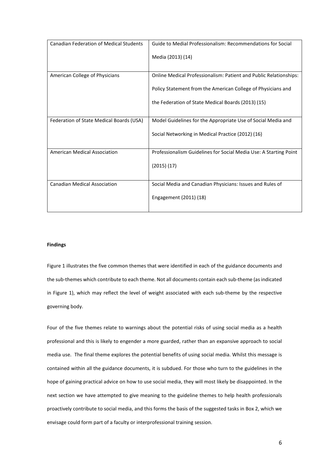| <b>Canadian Federation of Medical Students</b> | Guide to Medial Professionalism: Recommendations for Social       |
|------------------------------------------------|-------------------------------------------------------------------|
|                                                | Media (2013) (14)                                                 |
| American College of Physicians                 | Online Medical Professionalism: Patient and Public Relationships: |
|                                                | Policy Statement from the American College of Physicians and      |
|                                                | the Federation of State Medical Boards (2013) (15)                |
| Federation of State Medical Boards (USA)       | Model Guidelines for the Appropriate Use of Social Media and      |
|                                                | Social Networking in Medical Practice (2012) (16)                 |
| <b>American Medical Association</b>            | Professionalism Guidelines for Social Media Use: A Starting Point |
|                                                | (2015)(17)                                                        |
| <b>Canadian Medical Association</b>            | Social Media and Canadian Physicians: Issues and Rules of         |
|                                                | Engagement (2011) (18)                                            |

#### **Findings**

Figure 1 illustrates the five common themes that were identified in each of the guidance documents and the sub-themes which contribute to each theme. Not all documents contain each sub-theme (as indicated in Figure 1), which may reflect the level of weight associated with each sub-theme by the respective governing body.

Four of the five themes relate to warnings about the potential risks of using social media as a health professional and this is likely to engender a more guarded, rather than an expansive approach to social media use. The final theme explores the potential benefits of using social media. Whilst this message is contained within all the guidance documents, it is subdued. For those who turn to the guidelines in the hope of gaining practical advice on how to use social media, they will most likely be disappointed. In the next section we have attempted to give meaning to the guideline themes to help health professionals proactively contribute to social media, and this forms the basis of the suggested tasks in Box 2, which we envisage could form part of a faculty or interprofessional training session.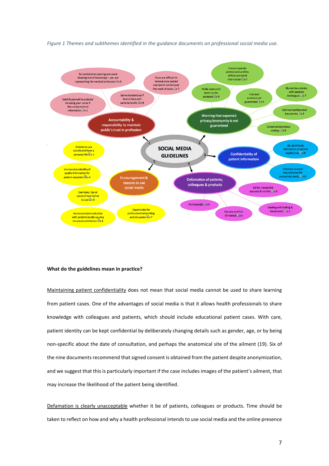

*Figure 1 Themes and subthemes identified in the guidance documents on professional social media use.*

#### **What do the guidelines mean in practice?**

Maintaining patient confidentiality does not mean that social media cannot be used to share learning from patient cases. One of the advantages of social media is that it allows health professionals to share knowledge with colleagues and patients, which should include educational patient cases. With care, patient identity can be kept confidential by deliberately changing details such as gender, age, or by being non-specific about the date of consultation, and perhaps the anatomical site of the ailment (19). Six of the nine documents recommend that signed consent is obtained from the patient despite anonymization, and we suggest that this is particularly important if the case includes images of the patient's ailment, that may increase the likelihood of the patient being identified.

Defamation is clearly unacceptable whether it be of patients, colleagues or products. Time should be taken to reflect on how and why a health professional intends to use social media and the online presence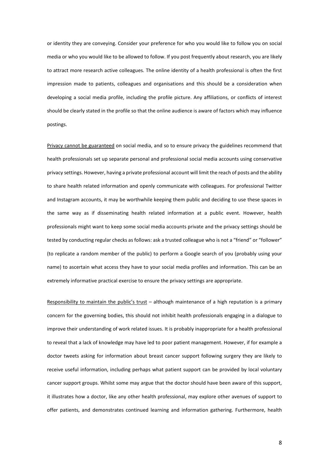or identity they are conveying. Consider your preference for who you would like to follow you on social media or who you would like to be allowed to follow. If you post frequently about research, you are likely to attract more research active colleagues. The online identity of a health professional is often the first impression made to patients, colleagues and organisations and this should be a consideration when developing a social media profile, including the profile picture. Any affiliations, or conflicts of interest should be clearly stated in the profile so that the online audience is aware of factors which may influence postings.

Privacy cannot be guaranteed on social media, and so to ensure privacy the guidelines recommend that health professionals set up separate personal and professional social media accounts using conservative privacy settings. However, having a private professional account will limit the reach of posts and the ability to share health related information and openly communicate with colleagues. For professional Twitter and Instagram accounts, it may be worthwhile keeping them public and deciding to use these spaces in the same way as if disseminating health related information at a public event. However, health professionals might want to keep some social media accounts private and the privacy settings should be tested by conducting regular checks as follows: ask a trusted colleague who is not a "friend" or "follower" (to replicate a random member of the public) to perform a Google search of you (probably using your name) to ascertain what access they have to your social media profiles and information. This can be an extremely informative practical exercise to ensure the privacy settings are appropriate.

Responsibility to maintain the public's trust – although maintenance of a high reputation is a primary concern for the governing bodies, this should not inhibit health professionals engaging in a dialogue to improve their understanding of work related issues. It is probably inappropriate for a health professional to reveal that a lack of knowledge may have led to poor patient management. However, if for example a doctor tweets asking for information about breast cancer support following surgery they are likely to receive useful information, including perhaps what patient support can be provided by local voluntary cancer support groups. Whilst some may argue that the doctor should have been aware of this support, it illustrates how a doctor, like any other health professional, may explore other avenues of support to offer patients, and demonstrates continued learning and information gathering. Furthermore, health

8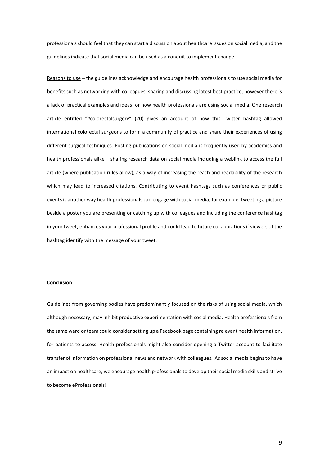professionals should feel that they can start a discussion about healthcare issues on social media, and the guidelines indicate that social media can be used as a conduit to implement change.

Reasons to use - the guidelines acknowledge and encourage health professionals to use social media for benefits such as networking with colleagues, sharing and discussing latest best practice, however there is a lack of practical examples and ideas for how health professionals are using social media. One research article entitled "#colorectalsurgery" (20) gives an account of how this Twitter hashtag allowed international colorectal surgeons to form a community of practice and share their experiences of using different surgical techniques. Posting publications on social media is frequently used by academics and health professionals alike – sharing research data on social media including a weblink to access the full article (where publication rules allow), as a way of increasing the reach and readability of the research which may lead to increased citations. Contributing to event hashtags such as conferences or public events is another way health professionals can engage with social media, for example, tweeting a picture beside a poster you are presenting or catching up with colleagues and including the conference hashtag in your tweet, enhances your professional profile and could lead to future collaborations if viewers of the hashtag identify with the message of your tweet.

#### **Conclusion**

Guidelines from governing bodies have predominantly focused on the risks of using social media, which although necessary, may inhibit productive experimentation with social media. Health professionals from the same ward or team could consider setting up a Facebook page containing relevant health information, for patients to access. Health professionals might also consider opening a Twitter account to facilitate transfer of information on professional news and network with colleagues. As social media begins to have an impact on healthcare, we encourage health professionals to develop their social media skills and strive to become eProfessionals!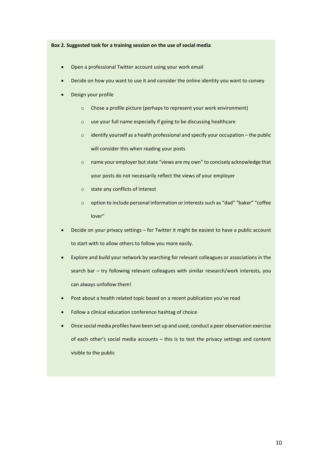#### **Box 2. Suggested task for a training session on the use of social media**

- Open a professional Twitter account using your work email
- Decide on how you want to use it and consider the online identity you want to convey
- Design your profile
	- o Chose a profile picture (perhaps to represent your work environment)
	- o use your full name especially if going to be discussing healthcare
	- o identify yourself as a health professional and specify your occupation the public will consider this when reading your posts
	- o name your employer but state "views are my own" to concisely acknowledge that your posts do not necessarily reflect the views of your employer
	- o state any conflicts of interest
	- o option to include personal information or interests such as "dad" "baker" "coffee lover"
- Decide on your privacy settings for Twitter it might be easiest to have a public account to start with to allow others to follow you more easily.
- Explore and build your network by searching for relevant colleagues or associations in the search bar – try following relevant colleagues with similar research/work interests, you can always unfollow them!
- Post about a health related topic based on a recent publication you've read
- Follow a clinical education conference hashtag of choice
- Once social media profiles have been set up and used, conduct a peer observation exercise of each other's social media accounts – this is to test the privacy settings and content visible to the public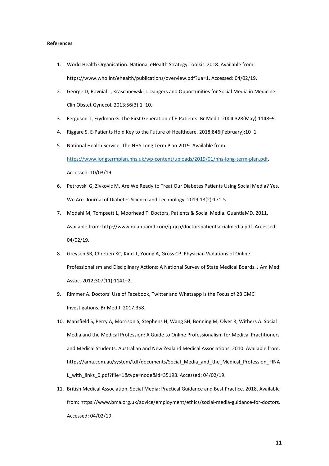#### **References**

- 1. World Health Organisation. National eHealth Strategy Toolkit. 2018. Available from: https://www.who.int/ehealth/publications/overview.pdf?ua=1. Accessed: 04/02/19.
- 2. George D, Rovnial L, Kraschnewski J. Dangers and Opportunities for Social Media in Medicine. Clin Obstet Gynecol. 2013;56(3):1–10.
- 3. Ferguson T, Frydman G. The First Generation of E-Patients. Br Med J. 2004;328(May):1148–9.
- 4. Riggare S. E-Patients Hold Key to the Future of Healthcare. 2018;846(February):10–1.
- 5. National Health Service. The NHS Long Term Plan.2019. Available from:

[https://www.longtermplan.nhs.uk/wp-content/uploads/2019/01/nhs-long-term-plan.pdf.](https://www.longtermplan.nhs.uk/wp-content/uploads/2019/01/nhs-long-term-plan.pdf) Accessed: 10/03/19.

- 6. Petrovski G, Zivkovic M. Are We Ready to Treat Our Diabetes Patients Using Social Media? Yes, We Are. Journal of Diabetes Science and Technology. 2019;13(2):171-5
- 7. Modahl M, Tompsett L, Moorhead T. Doctors, Patients & Social Media. QuantiaMD. 2011. Available from: http://www.quantiamd.com/q-qcp/doctorspatientsocialmedia.pdf. Accessed: 04/02/19.
- 8. Greysen SR, Chretien KC, Kind T, Young A, Gross CP. Physician Violations of Online Professionalism and Disciplinary Actions: A National Survey of State Medical Boards. J Am Med Assoc. 2012;307(11):1141–2.
- 9. Rimmer A. Doctors' Use of Facebook, Twitter and Whatsapp is the Focus of 28 GMC Investigations. Br Med J. 2017;358.
- 10. Mansfield S, Perry A, Morrison S, Stephens H, Wang SH, Bonning M, Olver R, Withers A. Social Media and the Medical Profession: A Guide to Online Professionalism for Medical Practitioners and Medical Students. Australian and New Zealand Medical Associations. 2010. Available from: https://ama.com.au/system/tdf/documents/Social\_Media\_and\_the\_Medical\_Profession\_FINA L\_with\_links\_0.pdf?file=1&type=node&id=35198. Accessed: 04/02/19.
- 11. British Medical Association. Social Media: Practical Guidance and Best Practice. 2018. Available from: https://www.bma.org.uk/advice/employment/ethics/social-media-guidance-for-doctors. Accessed: 04/02/19.